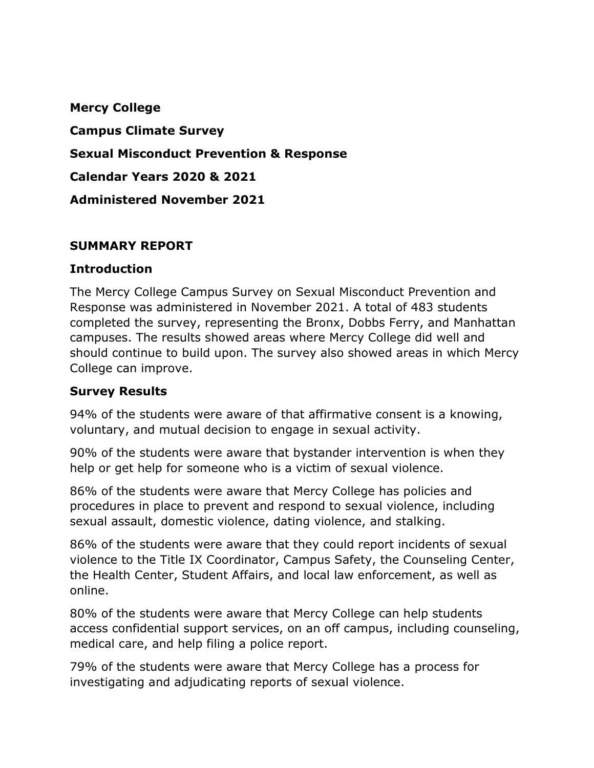**Mercy College Campus Climate Survey Sexual Misconduct Prevention & Response Calendar Years 2020 & 2021 Administered November 2021**

### **SUMMARY REPORT**

#### **Introduction**

The Mercy College Campus Survey on Sexual Misconduct Prevention and Response was administered in November 2021. A total of 483 students completed the survey, representing the Bronx, Dobbs Ferry, and Manhattan campuses. The results showed areas where Mercy College did well and should continue to build upon. The survey also showed areas in which Mercy College can improve.

### **Survey Results**

94% of the students were aware of that affirmative consent is a knowing, voluntary, and mutual decision to engage in sexual activity.

90% of the students were aware that bystander intervention is when they help or get help for someone who is a victim of sexual violence.

86% of the students were aware that Mercy College has policies and procedures in place to prevent and respond to sexual violence, including sexual assault, domestic violence, dating violence, and stalking.

86% of the students were aware that they could report incidents of sexual violence to the Title IX Coordinator, Campus Safety, the Counseling Center, the Health Center, Student Affairs, and local law enforcement, as well as online.

80% of the students were aware that Mercy College can help students access confidential support services, on an off campus, including counseling, medical care, and help filing a police report.

79% of the students were aware that Mercy College has a process for investigating and adjudicating reports of sexual violence.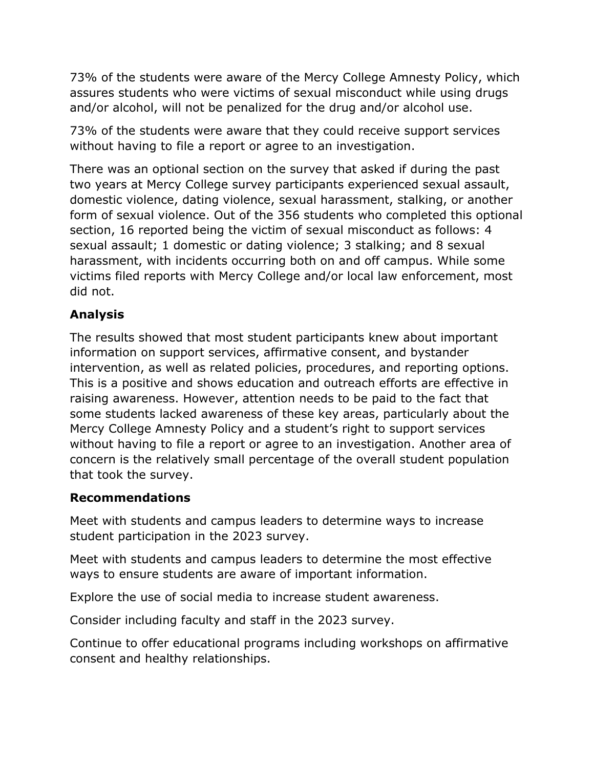73% of the students were aware of the Mercy College Amnesty Policy, which assures students who were victims of sexual misconduct while using drugs and/or alcohol, will not be penalized for the drug and/or alcohol use.

73% of the students were aware that they could receive support services without having to file a report or agree to an investigation.

There was an optional section on the survey that asked if during the past two years at Mercy College survey participants experienced sexual assault, domestic violence, dating violence, sexual harassment, stalking, or another form of sexual violence. Out of the 356 students who completed this optional section, 16 reported being the victim of sexual misconduct as follows: 4 sexual assault; 1 domestic or dating violence; 3 stalking; and 8 sexual harassment, with incidents occurring both on and off campus. While some victims filed reports with Mercy College and/or local law enforcement, most did not.

# **Analysis**

The results showed that most student participants knew about important information on support services, affirmative consent, and bystander intervention, as well as related policies, procedures, and reporting options. This is a positive and shows education and outreach efforts are effective in raising awareness. However, attention needs to be paid to the fact that some students lacked awareness of these key areas, particularly about the Mercy College Amnesty Policy and a student's right to support services without having to file a report or agree to an investigation. Another area of concern is the relatively small percentage of the overall student population that took the survey.

## **Recommendations**

Meet with students and campus leaders to determine ways to increase student participation in the 2023 survey.

Meet with students and campus leaders to determine the most effective ways to ensure students are aware of important information.

Explore the use of social media to increase student awareness.

Consider including faculty and staff in the 2023 survey.

Continue to offer educational programs including workshops on affirmative consent and healthy relationships.